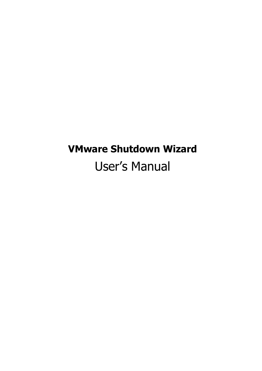# **VMware Shutdown Wizard** User's Manual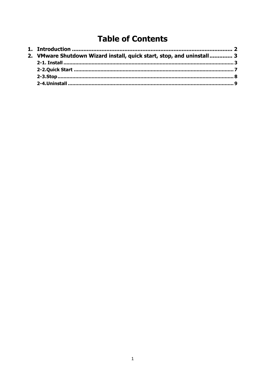# **Table of Contents**

| 2. VMware Shutdown Wizard install, quick start, stop, and uninstall 3 |  |
|-----------------------------------------------------------------------|--|
|                                                                       |  |
|                                                                       |  |
|                                                                       |  |
|                                                                       |  |
|                                                                       |  |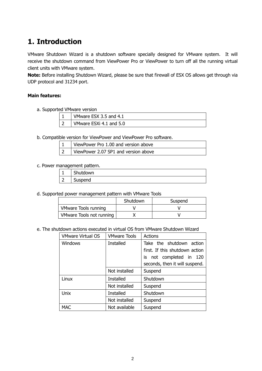## <span id="page-2-0"></span>**1. Introduction**

VMware Shutdown Wizard is a shutdown software specially designed for VMware system. It will receive the shutdown command from ViewPower Pro or ViewPower to turn off all the running virtual client units with VMware system.

**Note:** Before installing Shutdown Wizard, please be sure that firewall of ESX OS allows get through via UDP protocol and 31234 port.

#### **Main features:**

a. Supported VMware version

| VMware ESX 3.5 and 4.1  |
|-------------------------|
| VMware ESXi 4.1 and 5.0 |

b. Compatible version for ViewPower and ViewPower Pro software.

|           | ViewPower Pro 1.00 and version above |
|-----------|--------------------------------------|
| $\vert$ 2 | ViewPower 2.07 SP1 and version above |

c. Power management pattern.

| . . <u>.</u><br>- - - - - - - |          |  |  |  |  |
|-------------------------------|----------|--|--|--|--|
|                               | Shutdown |  |  |  |  |
|                               | Suspend  |  |  |  |  |

d. Supported power management pattern with VMware Tools

|                             | Shutdown | Suspend |
|-----------------------------|----------|---------|
| <b>VMware Tools running</b> |          |         |
| VMware Tools not running    |          |         |

e. The shutdown actions executed in virtual OS from VMware Shutdown Wizard

| <b>VMware Virtual OS</b> | <b>VMware Tools</b> | <b>Actions</b>                 |
|--------------------------|---------------------|--------------------------------|
| <b>Windows</b>           | Installed           | Take the shutdown action       |
|                          |                     | first. If this shutdown action |
|                          |                     | is not completed in 120        |
|                          |                     | seconds, then it will suspend. |
|                          | Not installed       | Suspend                        |
| Linux                    | <b>Installed</b>    | Shutdown                       |
|                          | Not installed       | Suspend                        |
| Unix                     | <b>Installed</b>    | Shutdown                       |
|                          | Not installed       | Suspend                        |
| <b>MAC</b>               | Not available       | Suspend                        |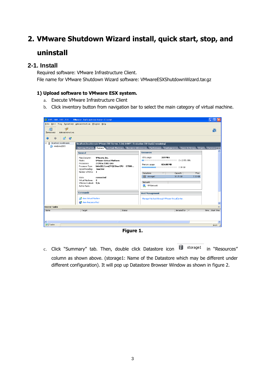# <span id="page-3-0"></span>**2. VMware Shutdown Wizard install, quick start, stop, and uninstall**

### <span id="page-3-1"></span>**2-1. Install**

Required software: VMware Infrastructure Client. File name for VMware Shutdown Wizard software: VMwareESXShutdownWizard.tar.gz

#### **1) Upload software to VMware ESX system.**

- a. Execute VMware Infrastructure Client
- b. Click inventory button from navigation bar to select the main category of virtual machine.

| $\frac{1}{2}$ 192.168.102.231 - Vivare Infrastructure Client                                                                                                                                        |                                                                                                                       |        |                                                     |                                   |                 |
|-----------------------------------------------------------------------------------------------------------------------------------------------------------------------------------------------------|-----------------------------------------------------------------------------------------------------------------------|--------|-----------------------------------------------------|-----------------------------------|-----------------|
| File Edit View Inventory Administration Plugins Help                                                                                                                                                |                                                                                                                       |        |                                                     |                                   |                 |
| தூ<br>for<br>Administration<br>Inventory                                                                                                                                                            |                                                                                                                       |        |                                                     |                                   | 闸               |
| 感<br>$\bullet$                                                                                                                                                                                      |                                                                                                                       |        |                                                     |                                   |                 |
| localhost.localdomain<br>日目                                                                                                                                                                         | localhost.localdomain VMware ESX Server, 3.5.0, 64607   Evaluation (60 day(s) remaining)                              |        |                                                     |                                   |                 |
| 图 windows2003                                                                                                                                                                                       | Getting Started Summary Virtual Machines Resource Allocation Performance Configuration Users & Groups Events Permissi |        |                                                     |                                   |                 |
|                                                                                                                                                                                                     | <b>General</b>                                                                                                        |        | <b>Resources</b>                                    |                                   |                 |
| Manufacturer:<br>VMware, Inc.<br><b>YMware Virtual Platform</b><br>Model:<br>2 CPU x 2.931 GHz<br>Processors:<br>Intel(R) Core(TM)2 Duo CPU E7500<br>Processor Type:<br>Hyperthreading:<br>Inactive |                                                                                                                       |        | 359 MHz<br>CPU usage:<br>824.00 MB<br>Memory usage: | $2 \times 2.931$ GHz<br>$2.00$ GB |                 |
|                                                                                                                                                                                                     | Number of NICs: 1                                                                                                     |        | Datastore<br>$\overline{\phantom{0}}$               | Free<br>Capacity                  |                 |
|                                                                                                                                                                                                     | connected<br>State:<br>Virhual Machines:<br>$\overline{z}$<br>VMotion Enabled: N/A<br>Active Tasks:                   |        | storage1<br>Network<br>◉<br>VM Network              | 32.25 GB<br>$7.32$ GB             |                 |
|                                                                                                                                                                                                     | <b>Commands</b>                                                                                                       |        | <b>Host Management</b>                              |                                   |                 |
|                                                                                                                                                                                                     | 图 New Virtual Machine<br>New Resource Pool                                                                            |        | Manage this host through VMware VirtualCenter.      |                                   |                 |
| <b>Recent Tasks</b>                                                                                                                                                                                 |                                                                                                                       |        |                                                     |                                   | $\mathbf{x}$    |
| Name.                                                                                                                                                                                               | Target                                                                                                                | Shahus |                                                     | Initiated by $\ \nabla$           | Time Start Time |
|                                                                                                                                                                                                     |                                                                                                                       |        |                                                     |                                   |                 |
| ∢<br><b>V</b> Tasks                                                                                                                                                                                 | $\mathbb{H}\mathbb{H}$ .                                                                                              |        |                                                     |                                   | root            |
|                                                                                                                                                                                                     |                                                                                                                       |        |                                                     |                                   |                 |

**Figure 1.** 

c. Click "Summary" tab. Then, double click Datastore icon in storage1 in "Resources" column as shown above. (storage1: Name of the Datastore which may be different under different configuration). It will pop up Datastore Browser Window as shown in figure 2.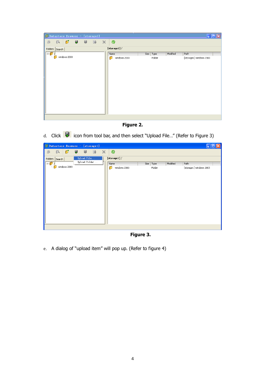| Datastore Browser - [storage1]                         |                   |           |          | ÷                       |  |
|--------------------------------------------------------|-------------------|-----------|----------|-------------------------|--|
| $\mathcal{O}$<br>臥<br>- 53<br>- 刷<br>$\mathbb{B}$<br>画 | $\times$<br>֎     |           |          |                         |  |
| Folders Search                                         | [storage1]/       |           |          |                         |  |
| $\Box$                                                 | Name              | Size Type | Modified | Path                    |  |
| windows 2003                                           | n<br>windows 2003 | Folder    |          | [storage1] windows 2003 |  |



d. Click icon from tool bar, and then select "Upload File..." (Refer to Figure 3)

| Datastore Browser - [storage1] |                    |               |           |          |                         |
|--------------------------------|--------------------|---------------|-----------|----------|-------------------------|
| $\sigma$<br>僞<br>画             | 同<br><b>B</b><br>国 | $\times$<br>◎ |           |          |                         |
| Folders   Search               | Upload File        | [storage1]/   |           |          |                         |
| $\Box$                         | Upload Folder      | Name          | Size Type | Modified | Path                    |
| windows 2003                   |                    | windows 2003  | Folder    |          | [storage1] windows 2003 |
|                                |                    |               |           |          |                         |

**Figure 3.**

e. A dialog of "upload item" will pop up. (Refer to figure 4)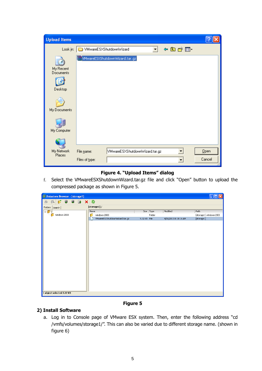| <b>Upload Items</b>                      |                                                                |                |
|------------------------------------------|----------------------------------------------------------------|----------------|
| Look in:                                 | 中国普丽<br>WwareESXShutdownWizard                                 |                |
| My Recent<br><b>Documents</b><br>Desktop | $\exists$ VMwareESXShutdownWizard.tar.gz $\exists$             |                |
| My Documents<br>My Computer              |                                                                |                |
| My Network<br>Places                     | VMwareESXShutdownWizard.tar.gz<br>File name:<br>Files of type: | Qpen<br>Cancel |

#### **Figure 4. "Upload Items" dialog**

f. Select the VMwareESXShutdownWizard.tar.gz file and click "Open" button to upload the compressed package as shown in Figure 5.

| 38 3<br>◎<br>医口目<br>$\mathbf{x}$<br>画<br>[storage1]/<br>Folders   Search  <br>Modified<br>Size   Type<br>Path<br>E/T<br>Name<br>Ø<br>windows 2003<br>windows 2003<br>[storage1] windows 2003<br>Folder<br>5.32 KB File<br>VMwareESXShutdownWizard.tar.gz<br>4/10/2013 8:18:16 AM<br>[storage1] | <sup>1</sup> Datastore Browser - [storage1] | ц |
|------------------------------------------------------------------------------------------------------------------------------------------------------------------------------------------------------------------------------------------------------------------------------------------------|---------------------------------------------|---|
|                                                                                                                                                                                                                                                                                                |                                             |   |
|                                                                                                                                                                                                                                                                                                |                                             |   |
|                                                                                                                                                                                                                                                                                                |                                             |   |
|                                                                                                                                                                                                                                                                                                |                                             |   |
|                                                                                                                                                                                                                                                                                                |                                             |   |
|                                                                                                                                                                                                                                                                                                | 1 object selected 5.32 KB                   |   |

#### **Figure 5**

#### **2) Install Software**

a. Log in to Console page of VMware ESX system. Then, enter the following address "cd /vmfs/volumes/storage1/". This can also be varied due to different storage name. (shown in figure 6)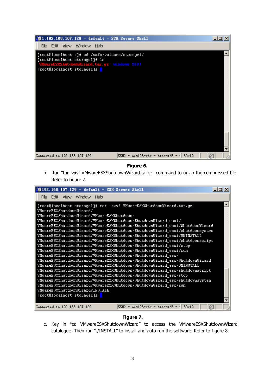

#### **Figure 6.**

b. Run "tar -zxvf VMwareESXShutdownWizard.tar.gz" command to unzip the compressed file. Refer to figure 7.



#### **Figure 7.**

c. Key in "cd VMwareESXShutdownWizard" to access the VMwareESXShutdownWizard catalogue. Then run "./INSTALL" to install and auto run the software. Refer to figure 8.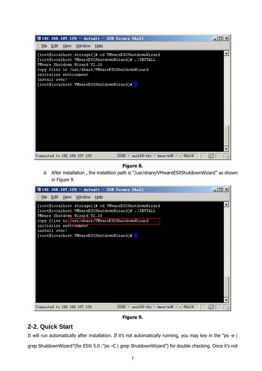

#### **Figure 8.**

d. After installation , the installtion path is "/usr/share/VMwareESXShutdownWizard" as shown in Figure 9.



**Figure 9.**

### <span id="page-7-0"></span>**2-2. Quick Start**

It will run automatically after installation. If it's not automatically running, you may key in the "ps -e |

grep ShutdownWizard"(for ESXi 5.0 :"ps –C | grep ShutdownWizard") for double checking. Once it's not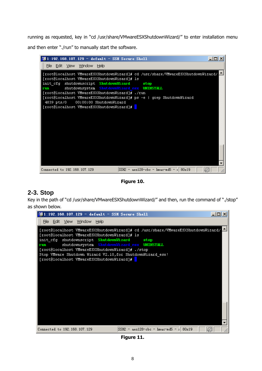running as requested, key in "cd /usr/share/VMwareESXShutdownWizard/" to enter installation menu and then enter "./run" to manually start the software.



**Figure 10.**

### <span id="page-8-0"></span>**2-3. Stop**

Key in the path of "cd /usr/share/VMwareESXShutdownWizard/" and then, run the command of "./stop" as shown below.



**Figure 11.**